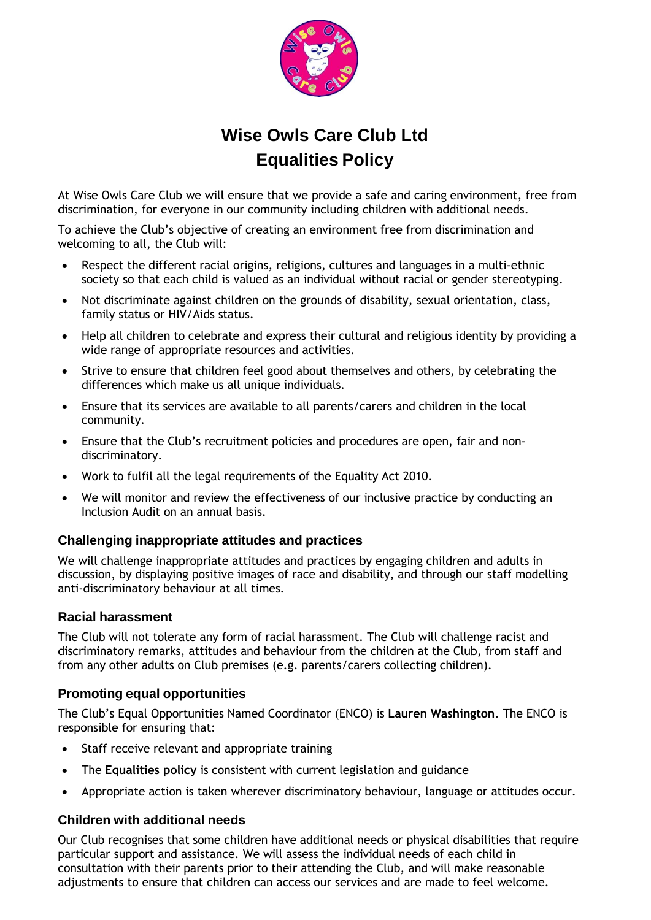

# **Wise Owls Care Club Ltd Equalities Policy**

At Wise Owls Care Club we will ensure that we provide a safe and caring environment, free from discrimination, for everyone in our community including children with additional needs.

To achieve the Club's objective of creating an environment free from discrimination and welcoming to all, the Club will:

- Respect the different racial origins, religions, cultures and languages in a multi-ethnic society so that each child is valued as an individual without racial or gender stereotyping.
- Not discriminate against children on the grounds of disability, sexual orientation, class, family status or HIV/Aids status.
- Help all children to celebrate and express their cultural and religious identity by providing a wide range of appropriate resources and activities.
- Strive to ensure that children feel good about themselves and others, by celebrating the differences which make us all unique individuals.
- Ensure that its services are available to all parents/carers and children in the local community.
- Ensure that the Club's recruitment policies and procedures are open, fair and nondiscriminatory.
- Work to fulfil all the legal requirements of the Equality Act 2010.
- We will monitor and review the effectiveness of our inclusive practice by conducting an Inclusion Audit on an annual basis.

## **Challenging inappropriate attitudes and practices**

We will challenge inappropriate attitudes and practices by engaging children and adults in discussion, by displaying positive images of race and disability, and through our staff modelling anti-discriminatory behaviour at all times.

## **Racial harassment**

The Club will not tolerate any form of racial harassment. The Club will challenge racist and discriminatory remarks, attitudes and behaviour from the children at the Club, from staff and from any other adults on Club premises (e.g. parents/carers collecting children).

## **Promoting equal opportunities**

The Club's Equal Opportunities Named Coordinator (ENCO) is **Lauren Washington**. The ENCO is responsible for ensuring that:

- Staff receive relevant and appropriate training
- The **Equalities policy** is consistent with current legislation and guidance
- Appropriate action is taken wherever discriminatory behaviour, language or attitudes occur.

## **Children with additional needs**

Our Club recognises that some children have additional needs or physical disabilities that require particular support and assistance. We will assess the individual needs of each child in consultation with their parents prior to their attending the Club, and will make reasonable adjustments to ensure that children can access our services and are made to feel welcome.